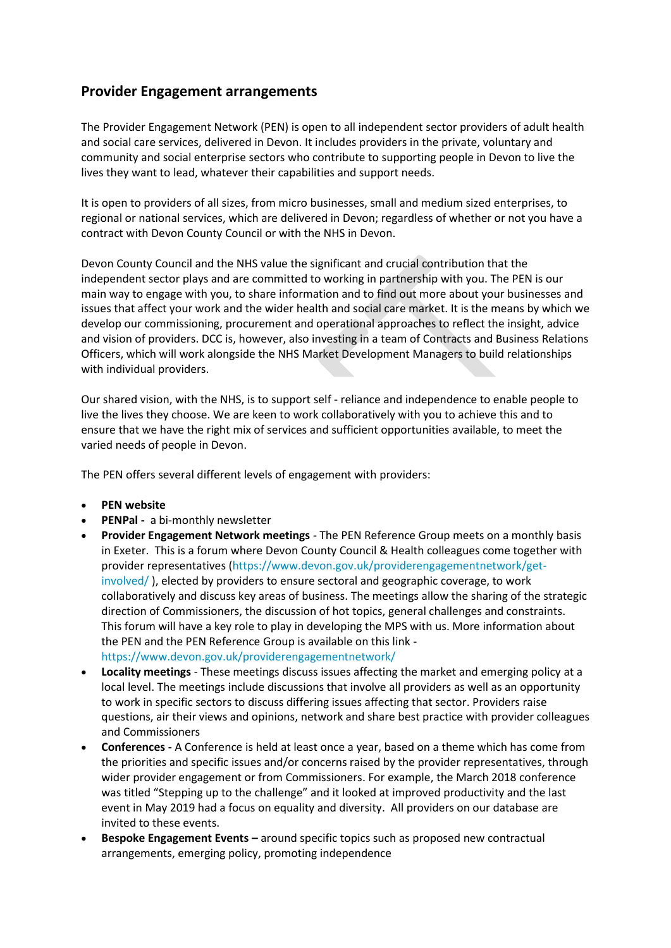## **Provider Engagement arrangements**

The Provider Engagement Network (PEN) is open to all independent sector providers of adult health and social care services, delivered in Devon. It includes providers in the private, voluntary and community and social enterprise sectors who contribute to supporting people in Devon to live the lives they want to lead, whatever their capabilities and support needs.

It is open to providers of all sizes, from micro businesses, small and medium sized enterprises, to regional or national services, which are delivered in Devon; regardless of whether or not you have a contract with Devon County Council or with the NHS in Devon.

Devon County Council and the NHS value the significant and crucial contribution that the independent sector plays and are committed to working in partnership with you. The PEN is our main way to engage with you, to share information and to find out more about your businesses and issues that affect your work and the wider health and social care market. It is the means by which we develop our commissioning, procurement and operational approaches to reflect the insight, advice and vision of providers. DCC is, however, also investing in a team of Contracts and Business Relations Officers, which will work alongside the NHS Market Development Managers to build relationships with individual providers.

Our shared vision, with the NHS, is to support self - reliance and independence to enable people to live the lives they choose. We are keen to work collaboratively with you to achieve this and to ensure that we have the right mix of services and sufficient opportunities available, to meet the varied needs of people in Devon.

The PEN offers several different levels of engagement with providers:

- **PEN website**
- **PENPal -** a bi-monthly newsletter
- **Provider Engagement Network meetings** The PEN Reference Group meets on a monthly basis in Exeter. This is a forum where Devon County Council & Health colleagues come together with provider representatives [\(https://www.devon.gov.uk/providerengagementnetwork/get](https://www.devon.gov.uk/providerengagementnetwork/get-involved/)[involved/](https://www.devon.gov.uk/providerengagementnetwork/get-involved/) ), elected by providers to ensure sectoral and geographic coverage, to work collaboratively and discuss key areas of business. The meetings allow the sharing of the strategic direction of Commissioners, the discussion of hot topics, general challenges and constraints. This forum will have a key role to play in developing the MPS with us. More information about the PEN and the PEN Reference Group is available on this link <https://www.devon.gov.uk/providerengagementnetwork/>
- **Locality meetings**  These meetings discuss issues affecting the market and emerging policy at a local level. The meetings include discussions that involve all providers as well as an opportunity to work in specific sectors to discuss differing issues affecting that sector. Providers raise questions, air their views and opinions, network and share best practice with provider colleagues and Commissioners
- **Conferences -** A Conference is held at least once a year, based on a theme which has come from the priorities and specific issues and/or concerns raised by the provider representatives, through wider provider engagement or from Commissioners. For example, the March 2018 conference was titled "Stepping up to the challenge" and it looked at improved productivity and the last event in May 2019 had a focus on equality and diversity. All providers on our database are invited to these events.
- **Bespoke Engagement Events –** around specific topics such as proposed new contractual arrangements, emerging policy, promoting independence